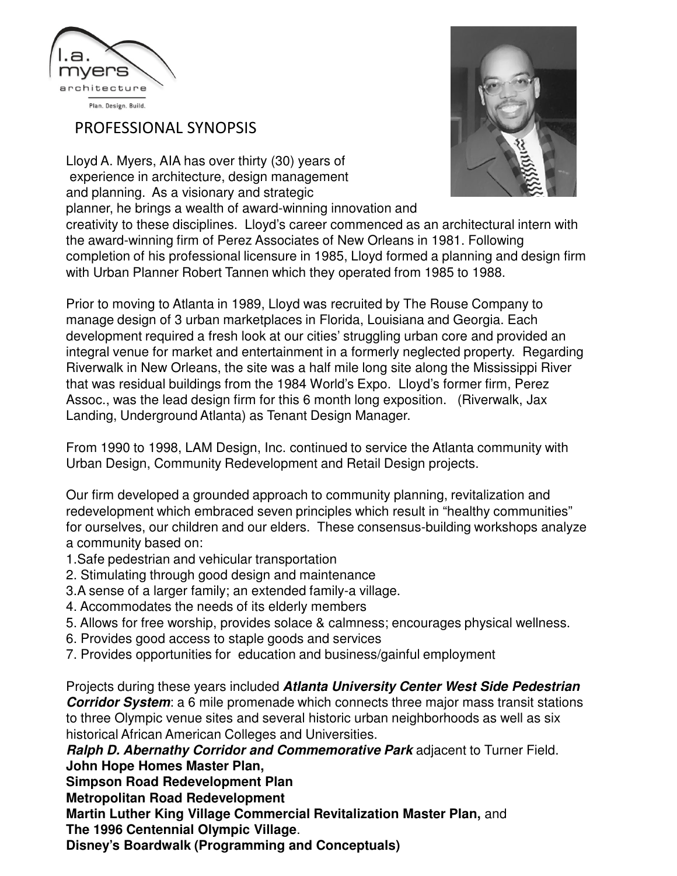

PROFESSIONAL SYNOPSIS

Lloyd A. Myers, AIA has over thirty (30) years of experience in architecture, design management and planning. As a visionary and strategic planner, he brings a wealth of award-winning innovation and



creativity to these disciplines. Lloyd's career commenced as an architectural intern with the award-winning firm of Perez Associates of New Orleans in 1981. Following completion of his professional licensure in 1985, Lloyd formed a planning and design firm with Urban Planner Robert Tannen which they operated from 1985 to 1988.

Prior to moving to Atlanta in 1989, Lloyd was recruited by The Rouse Company to manage design of 3 urban marketplaces in Florida, Louisiana and Georgia. Each development required a fresh look at our cities' struggling urban core and provided an integral venue for market and entertainment in a formerly neglected property. Regarding Riverwalk in New Orleans, the site was a half mile long site along the Mississippi River that was residual buildings from the 1984 World's Expo. Lloyd's former firm, Perez Assoc., was the lead design firm for this 6 month long exposition. (Riverwalk, Jax Landing, Underground Atlanta) as Tenant Design Manager.

From 1990 to 1998, LAM Design, Inc. continued to service the Atlanta community with Urban Design, Community Redevelopment and Retail Design projects.

Our firm developed a grounded approach to community planning, revitalization and redevelopment which embraced seven principles which result in "healthy communities" for ourselves, our children and our elders. These consensus-building workshops analyze a community based on:

- 1.Safe pedestrian and vehicular transportation
- 2. Stimulating through good design and maintenance
- 3.A sense of a larger family; an extended family-a village.
- 4. Accommodates the needs of its elderly members
- 5. Allows for free worship, provides solace & calmness; encourages physical wellness.
- 6. Provides good access to staple goods and services
- 7. Provides opportunities for education and business/gainful employment

Projects during these years included **Atlanta University Center West Side Pedestrian Corridor System**: a 6 mile promenade which connects three major mass transit stations to three Olympic venue sites and several historic urban neighborhoods as well as six historical African American Colleges and Universities.

**Ralph D. Abernathy Corridor and Commemorative Park** adjacent to Turner Field. **John Hope Homes Master Plan,** 

**Simpson Road Redevelopment Plan**

**Metropolitan Road Redevelopment**

**Martin Luther King Village Commercial Revitalization Master Plan,** and **The 1996 Centennial Olympic Village**.

**Disney's Boardwalk (Programming and Conceptuals)**